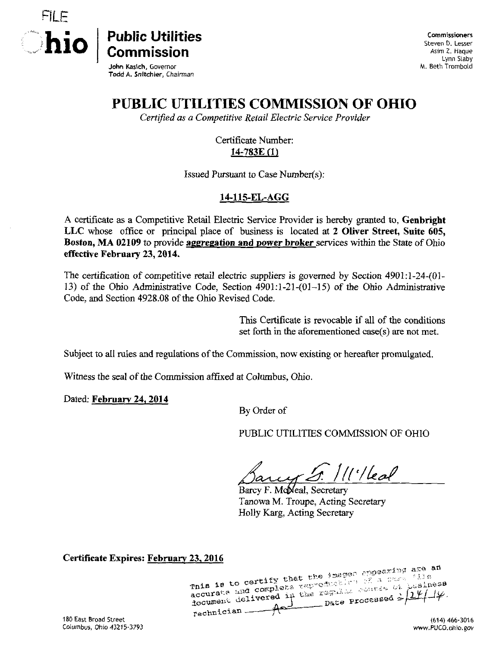

**Commissioners** Steven D. Lesser Asim Z. Haque Lynn Slaby M. Beth Trombold

John Kasich, Governor Todd A. Snftchler, Chairman

## PUBLIC UTILITIES COMMISSION OF OHIO

Certified as a Competitive Retail Electric Service Provider

Certificate Number: 14-783E (1)

Issued Pursuant to Case Number(s):

## 14-115-EL-AGG

A certificate as a Competitive Retail Electric Service Provider is hereby granted to, Genbright LLC whose office or principal place of business is located at 2 Oliver Street, Suite 605, Boston, MA 02109 to provide aggregation and power broker services within the State of Ohio effective February 23,2014.

The certification of competitive retail electric suppliers is governed by Section 4901:l-24-(0]- 13) of the Ohio Administrative Code, Section 4901:1-21-(01-15) of the Ohio Administrative Code, and Section 4928.08 of the Ohio Revised Code.

> This Certificate is revocable if all of the conditions set forth in the aforementioned case(s) are not met.

Subject to all rules and regulations of the Commission, now existing or hereafter promulgated.

Witness the seal of the Commission affixed at Columbus, Ohio.

Dated: February 24, 2014

By Order of

PUBLIC UTILITIES COMMISSION OF OHIO

5. *\\\'\\*eal

Barcy F. McMeal, Secretary Tanowa M. Troupe, Acting Secretary Holly Karg, Acting Secretary

Certificate Expires:  $\frac{February 23,2016}{25.25}$ accurate and complete reproduction of a supplement delivered in the regular counse of business rechnician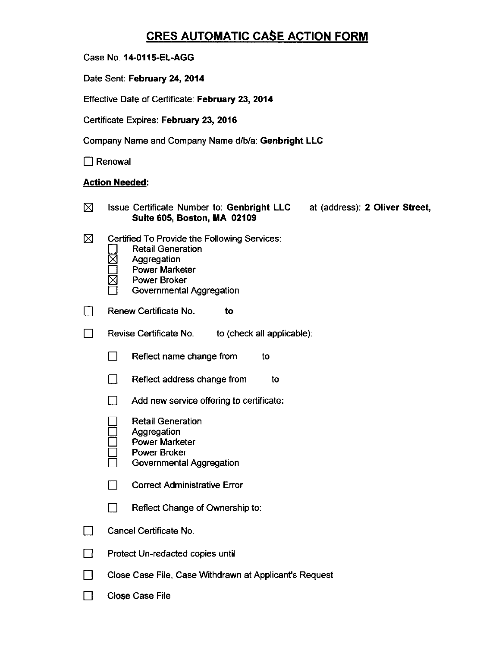## CRES AUTOMATIC CASE ACTION FORM

|  |  | Case No. 14-0115-EL-AGG |
|--|--|-------------------------|
|--|--|-------------------------|

Date Sent: February 24, 2014

Effective Date of Certificate: February 23, 2014

Certificate Expires: February 23, 2016

Company Name and Company Name d/b/a: Genbright LLC

 $\Box$  Renewal

## Action Needed:

| ⊠ | Issue Certificate Number to: Genbright LLC at (address): 2 Oliver Street,<br>Suite 605, Boston, MA 02109                                                            |  |  |  |
|---|---------------------------------------------------------------------------------------------------------------------------------------------------------------------|--|--|--|
| ⊠ | Certified To Provide the Following Services:<br><b>Retail Generation</b><br>Aggregation<br><b>Power Marketer</b><br><b>Power Broker</b><br>Governmental Aggregation |  |  |  |
|   | Renew Certificate No.<br>to                                                                                                                                         |  |  |  |
|   | Revise Certificate No.<br>to (check all applicable).                                                                                                                |  |  |  |
|   | Reflect name change from<br>ΙI<br>to                                                                                                                                |  |  |  |
|   | Reflect address change from<br>$\Box$<br>to                                                                                                                         |  |  |  |
|   | Add new service offering to certificate:                                                                                                                            |  |  |  |
|   | <b>Retail Generation</b><br>Aggregation<br><b>Power Marketer</b><br>Power Broker<br>Governmental Aggregation                                                        |  |  |  |
|   | П<br><b>Correct Administrative Error</b>                                                                                                                            |  |  |  |
|   | Reflect Change of Ownership to:<br>$\blacksquare$                                                                                                                   |  |  |  |
|   | Cancel Certificate No.                                                                                                                                              |  |  |  |
|   | Protect Un-redacted copies until                                                                                                                                    |  |  |  |
|   | Close Case File, Case Withdrawn at Applicant's Request                                                                                                              |  |  |  |
|   | <b>Close Case File</b>                                                                                                                                              |  |  |  |